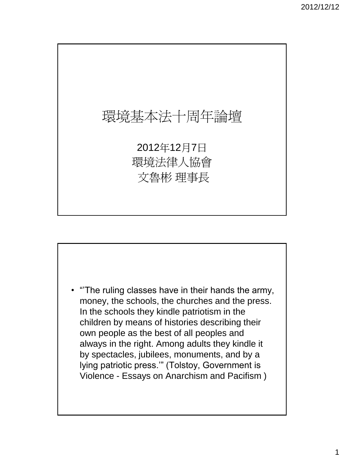

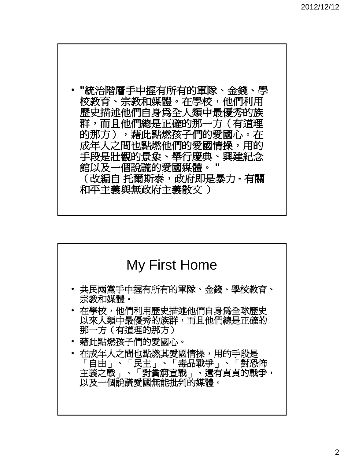

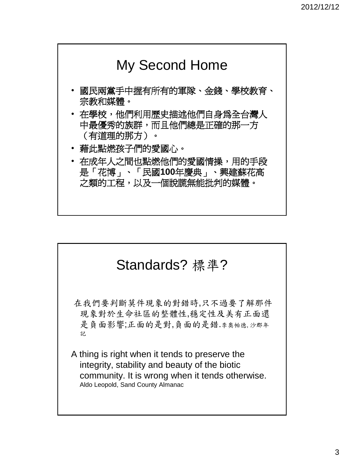

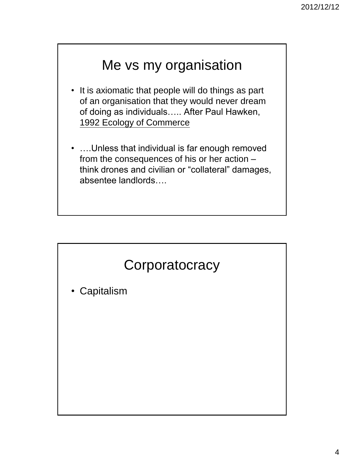#### Me vs my organisation

- It is axiomatic that people will do things as part of an organisation that they would never dream of doing as individuals….. After Paul Hawken, 1992 Ecology of Commerce
- ....Unless that individual is far enough removed from the consequences of his or her action – think drones and civilian or "collateral" damages, absentee landlords….

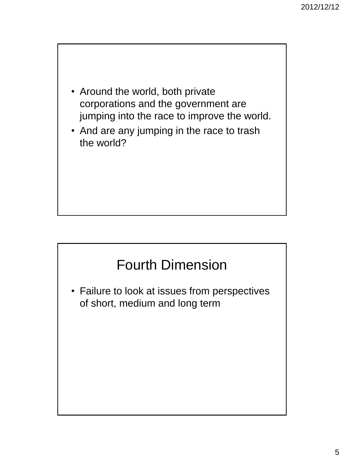

• And are any jumping in the race to trash the world?

## Fourth Dimension

• Failure to look at issues from perspectives of short, medium and long term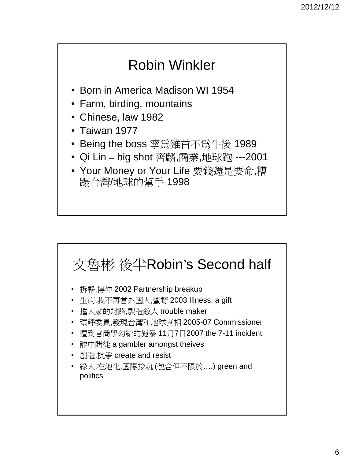# Robin Winkler

- Born in America Madison WI 1954
- Farm, birding, mountains
- Chinese, law 1982
- Taiwan 1977
- Being the boss 寧為雞首不為牛後 1989
- Qi Lin big shot 齊麟,商業,地球跑 ---2001
- Your Money or Your Life 要錢還是要命,糟 蹋台灣/地球的幫手 1998

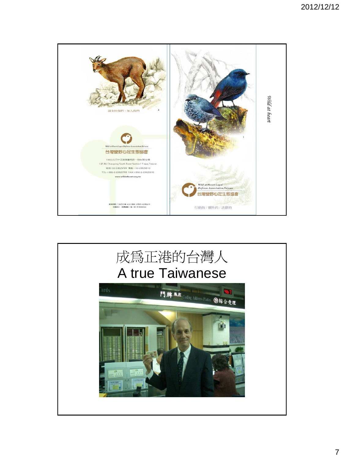

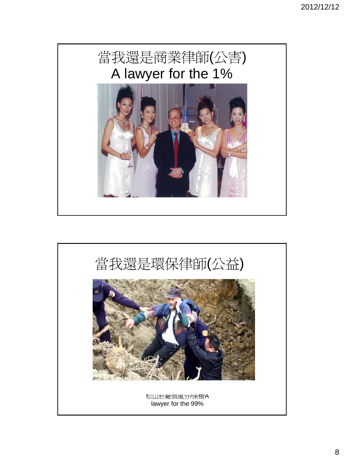

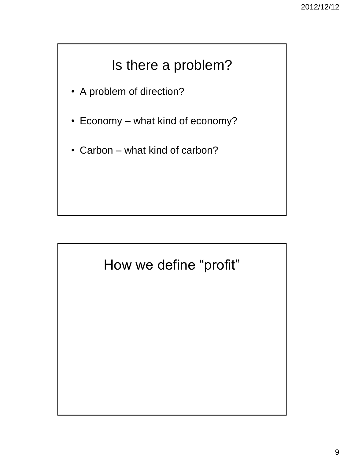#### Is there a problem?

- A problem of direction?
- Economy what kind of economy?
- Carbon what kind of carbon?

#### How we define "profit"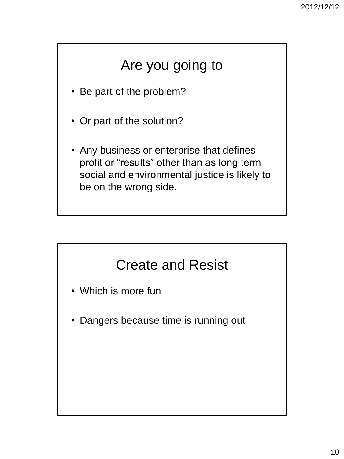## Are you going to

- Be part of the problem?
- Or part of the solution?
- Any business or enterprise that defines profit or "results" other than as long term social and environmental justice is likely to be on the wrong side.

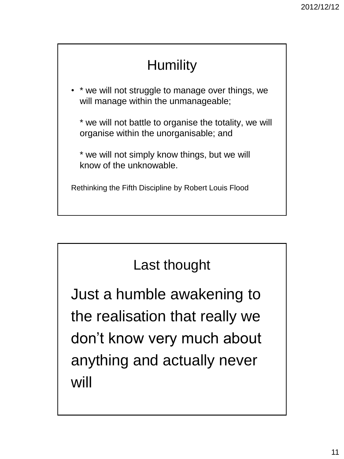## **Humility**

- \* we will not struggle to manage over things, we will manage within the unmanageable;
	- \* we will not battle to organise the totality, we will organise within the unorganisable; and
	- \* we will not simply know things, but we will know of the unknowable.

Rethinking the Fifth Discipline by Robert Louis Flood

## Last thought

Just a humble awakening to the realisation that really we don't know very much about anything and actually never will